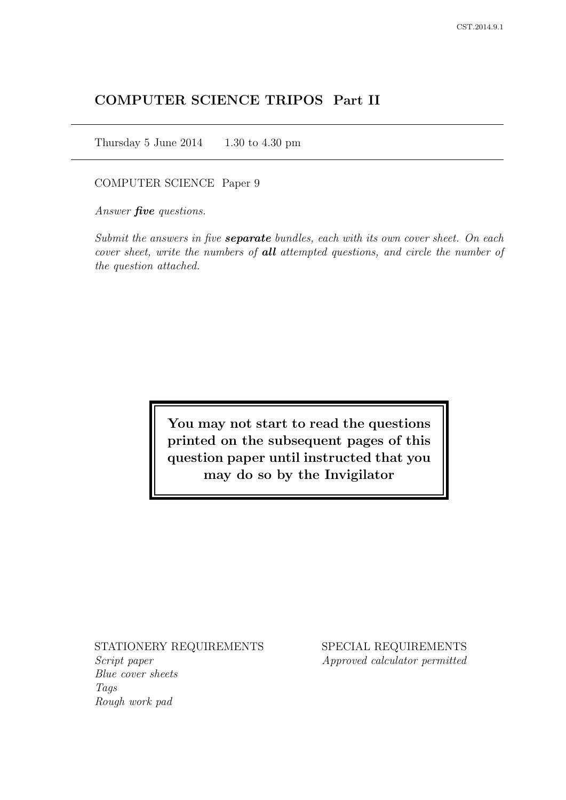# COMPUTER SCIENCE TRIPOS Part II

Thursday 5 June  $2014$  1.30 to 4.30 pm

COMPUTER SCIENCE Paper 9

Answer *five* questions.

Submit the answers in five **separate** bundles, each with its own cover sheet. On each cover sheet, write the numbers of **all** attempted questions, and circle the number of the question attached.

> You may not start to read the questions printed on the subsequent pages of this question paper until instructed that you may do so by the Invigilator

STATIONERY REQUIREMENTS

Script paper Blue cover sheets Tags Rough work pad

SPECIAL REQUIREMENTS Approved calculator permitted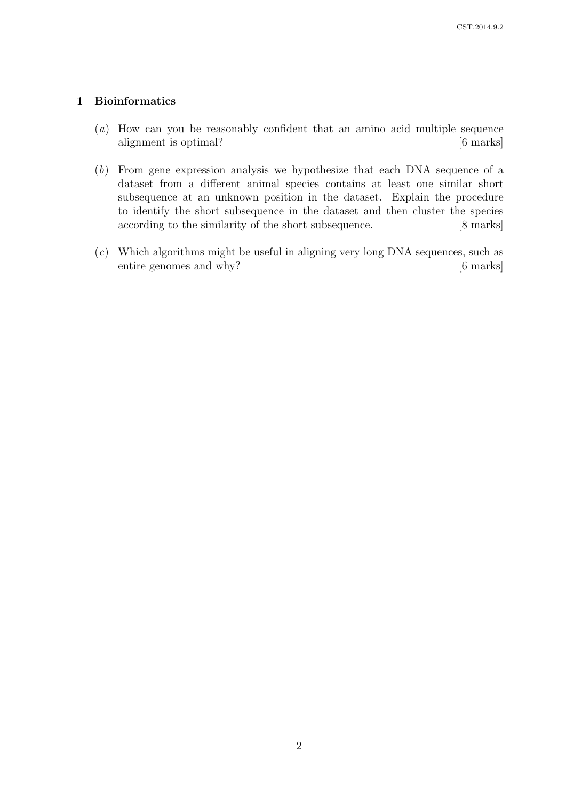# 1 Bioinformatics

- (a) How can you be reasonably confident that an amino acid multiple sequence alignment is optimal? [6 marks]
- (b) From gene expression analysis we hypothesize that each DNA sequence of a dataset from a different animal species contains at least one similar short subsequence at an unknown position in the dataset. Explain the procedure to identify the short subsequence in the dataset and then cluster the species according to the similarity of the short subsequence. [8 marks]
- (c) Which algorithms might be useful in aligning very long DNA sequences, such as entire genomes and why? [6 marks]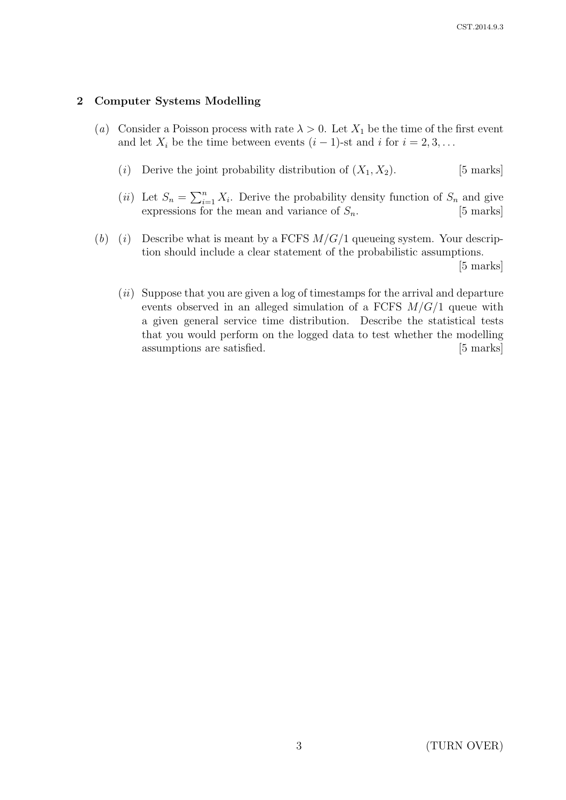### 2 Computer Systems Modelling

- (a) Consider a Poisson process with rate  $\lambda > 0$ . Let  $X_1$  be the time of the first event and let  $X_i$  be the time between events  $(i-1)$ -st and i for  $i = 2, 3, \ldots$ 
	- (i) Derive the joint probability distribution of  $(X_1, X_2)$ . [5 marks]
	- (*ii*) Let  $S_n = \sum_{i=1}^n X_i$ . Derive the probability density function of  $S_n$  and give expressions for the mean and variance of  $S_n$ . [5 marks]
- (b) (i) Describe what is meant by a FCFS  $M/G/1$  queueing system. Your description should include a clear statement of the probabilistic assumptions.

[5 marks]

 $(ii)$  Suppose that you are given a log of timestamps for the arrival and departure events observed in an alleged simulation of a FCFS  $M/G/1$  queue with a given general service time distribution. Describe the statistical tests that you would perform on the logged data to test whether the modelling assumptions are satisfied. [5 marks]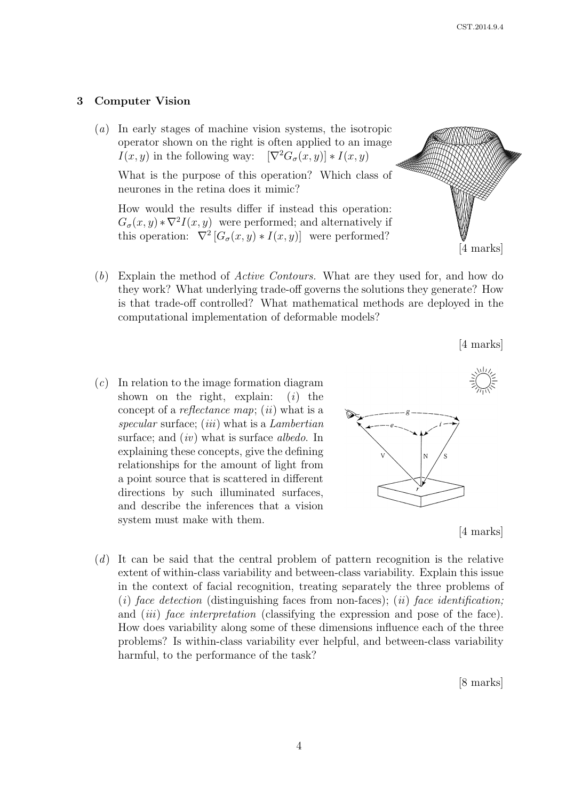#### 3 Computer Vision

(a) In early stages of machine vision systems, the isotropic operator shown on the right is often applied to an image  $I(x, y)$  in the following way:  $[\nabla^2 G_{\sigma}(x, y)] * I(x, y)$ 

What is the purpose of this operation? Which class of neurones in the retina does it mimic?

How would the results differ if instead this operation:  $G_{\sigma}(x, y) * \nabla^2 I(x, y)$  were performed; and alternatively if this operation:  $\nabla^2 \left[ G_{\sigma}(x, y) * I(x, y) \right]$  were performed?

- (b) Explain the method of Active Contours. What are they used for, and how do they work? What underlying trade-off governs the solutions they generate? How is that trade-off controlled? What mathematical methods are deployed in the computational implementation of deformable models?
- $(c)$  In relation to the image formation diagram shown on the right, explain:  $(i)$  the concept of a reflectance map; (ii) what is a specular surface; (*iii*) what is a *Lambertian* surface; and  $(iv)$  what is surface albedo. In explaining these concepts, give the defining relationships for the amount of light from a point source that is scattered in different directions by such illuminated surfaces, and describe the inferences that a vision system must make with them.





[4 marks]

[4 marks]

(d) It can be said that the central problem of pattern recognition is the relative extent of within-class variability and between-class variability. Explain this issue in the context of facial recognition, treating separately the three problems of (i) face detection (distinguishing faces from non-faces); (ii) face identification; and *(iii)* face interpretation (classifying the expression and pose of the face). How does variability along some of these dimensions influence each of the three problems? Is within-class variability ever helpful, and between-class variability harmful, to the performance of the task?

[8 marks]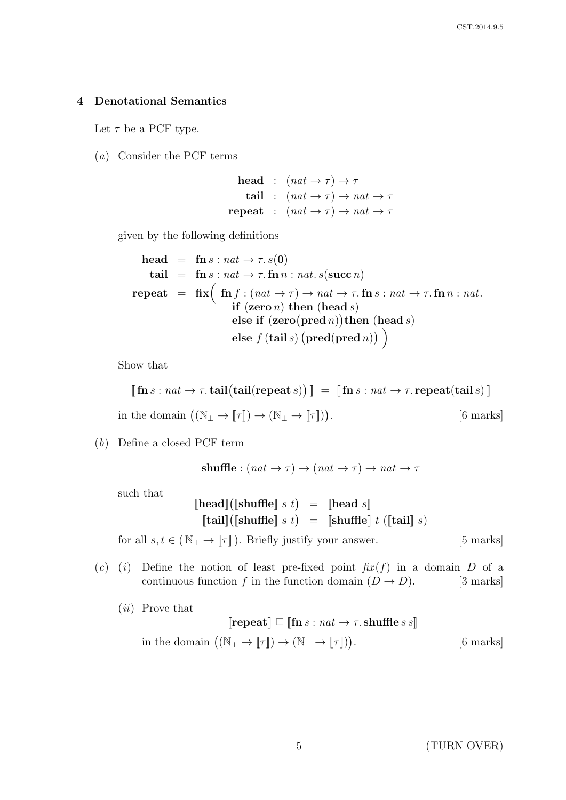### 4 Denotational Semantics

Let  $\tau$  be a PCF type.

(a) Consider the PCF terms

head :  $(nat \rightarrow \tau) \rightarrow \tau$ tail :  $(nat \to \tau) \to nat \to \tau$ repeat :  $(nat \to \tau) \to nat \to \tau$ 

given by the following definitions

head = 
$$
\mathbf{f} \cdot \mathbf{n} s : nat \rightarrow \tau . s(0)
$$
  
\ntail = 
$$
\mathbf{f} \cdot \mathbf{n} s : nat \rightarrow \tau . \mathbf{f} \cdot \mathbf{n} n : nat . s(\mathbf{succ}\ n)
$$
  
\nrepeat = 
$$
\mathbf{f} \cdot \mathbf{x} \left( \begin{array}{c} \mathbf{f} \cdot \mathbf{n} f : (nat \rightarrow \tau) \rightarrow nat \rightarrow \tau . \mathbf{f} \cdot \mathbf{n} s : nat \rightarrow \tau . \mathbf{f} \cdot \mathbf{n} n : nat . \\ \mathbf{if} (\mathbf{zero}\ n) \mathbf{then} (\mathbf{head}\ s) \\ \mathbf{else} \mathbf{if} (\mathbf{zero}(\mathbf{pred}\ n)) \mathbf{then} (\mathbf{head}\ s) \\ \mathbf{else} \ f (\mathbf{tail}\ s) (\mathbf{pred}(\mathbf{pred}\ n)) \end{array} \right)
$$

Show that

$$
[[\,\textbf{fn}\,s : \textit{nat} \rightarrow \tau.\,\textbf{tail}(\textbf{tail}(\textbf{repeat}\,s))] = [[\,\textbf{fn}\,s : \textit{nat} \rightarrow \tau.\,\textbf{repeat}(\textbf{tail}\,s)]]
$$

in the domain  $((\mathbb{N}_{\perp} \to [\![\tau]\!]) \to (\mathbb{N}_{\perp} \to [\![\tau]\!]))$ [6 marks]

(b) Define a closed PCF term

**shuffle**: 
$$
(nat \rightarrow \tau) \rightarrow (nat \rightarrow \tau) \rightarrow nat \rightarrow \tau
$$

such that

$$
\begin{array}{rcl}\n[\text{head}]\big([\text{shuffle}] \ s \ t) & = & [\text{head} \ s] \\
[\text{tail}]\big([\text{shuffle}] \ s \ t) & = & [\text{shuffle}] \ t \ ([\text{tail}] \ s)\n\end{array}
$$

for all  $s, t \in (\mathbb{N}_{\perp} \to \llbracket \tau \rrbracket)$ . Briefly justify your answer. [5 marks]

(c) (i) Define the notion of least pre-fixed point  $\operatorname{fix}(f)$  in a domain D of a continuous function f in the function domain  $(D \to D)$ . [3 marks]

(ii) Prove that

$$
\llbracket \mathbf{repeat} \rrbracket \sqsubseteq \llbracket \mathbf{fn} \, s : \, nat \to \tau. \, \mathbf{shuffle} \, s \, s \rrbracket
$$
\nin the domain  $((\mathbb{N}_{\perp} \to \llbracket \tau \rrbracket) \to (\mathbb{N}_{\perp} \to \llbracket \tau \rrbracket)).$  [6 marks]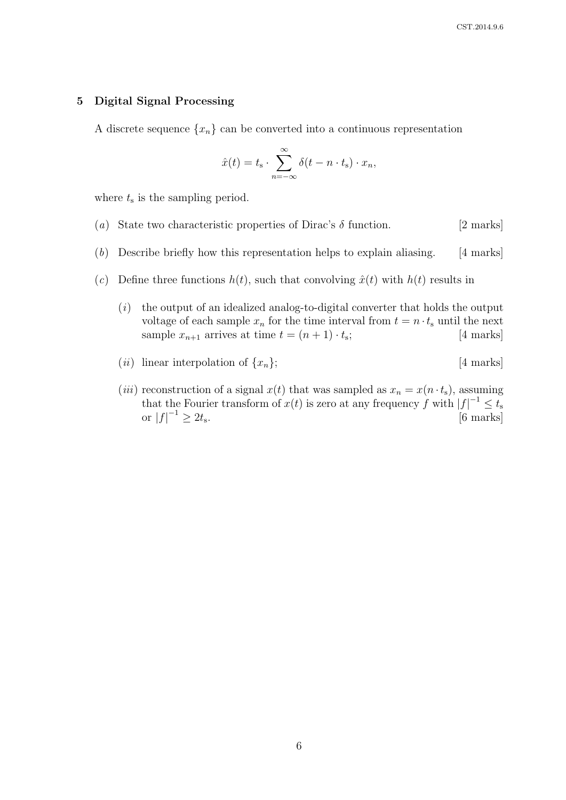#### 5 Digital Signal Processing

A discrete sequence  $\{x_n\}$  can be converted into a continuous representation

$$
\hat{x}(t) = t_{\rm s} \cdot \sum_{n=-\infty}^{\infty} \delta(t - n \cdot t_{\rm s}) \cdot x_n,
$$

where  $t_s$  is the sampling period.

- (a) State two characteristic properties of Dirac's  $\delta$  function. [2 marks]
- (b) Describe briefly how this representation helps to explain aliasing. [4 marks]
- (c) Define three functions  $h(t)$ , such that convolving  $\hat{x}(t)$  with  $h(t)$  results in
	- $(i)$  the output of an idealized analog-to-digital converter that holds the output voltage of each sample  $x_n$  for the time interval from  $t = n \cdot t_s$  until the next sample  $x_{n+1}$  arrives at time  $t = (n+1) \cdot t_s$ ; [4 marks]
	- (*ii*) linear interpolation of  $\{x_n\}$ ; [4 marks]
	- (*iii*) reconstruction of a signal  $x(t)$  that was sampled as  $x_n = x(n \cdot t_s)$ , assuming that the Fourier transform of  $x(t)$  is zero at any frequency f with  $|f|^{-1} \leq t_s$ or  $|f|^{-1} \ge 2t_s$ [6 marks]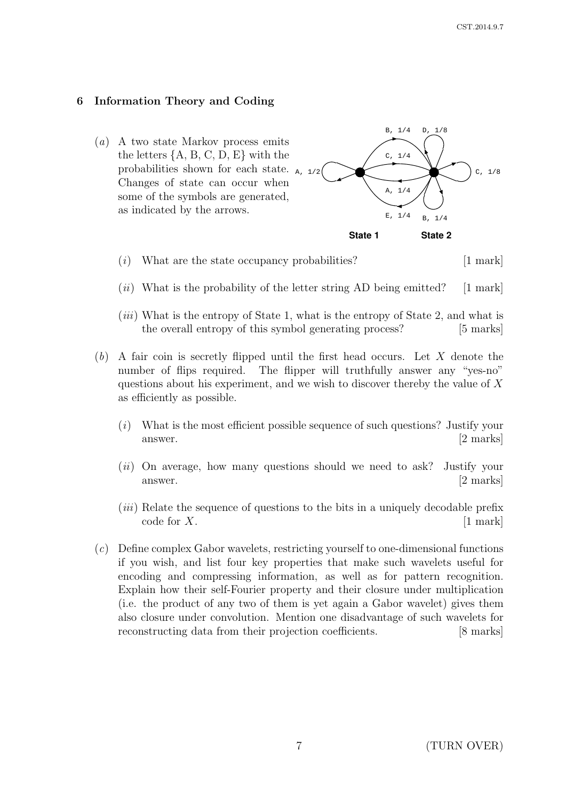# 6 Information Theory and Coding

(a) A two state Markov process emits the letters  $\{A, B, C, D, E\}$  with the probabilities shown for each state.  $_{A, 1/2}$ Changes of state can occur when some of the symbols are generated, as indicated by the arrows. B, 1/4  $C. 1/8$ D, 1/8 B, 1/4  $C, 1/4$  $A, 1/4$  $E, 1/4$ 

**State 1 State 2**

- $(i)$  What are the state occupancy probabilities? [1 mark]
- $(ii)$  What is the probability of the letter string AD being emitted? [1 mark]  $[1$  mark
- $(iii)$  What is the entropy of State 1, what is the entropy of State 2, and what is the overall entropy of this symbol generating process? [5 marks]
- (b) A fair coin is secretly flipped until the first head occurs. Let X denote the number of flips required. The flipper will truthfully answer any "yes-no" questions about his experiment, and we wish to discover thereby the value of  $X$ entropy values weighted with the state occupancy (calculated from the state of  $\mathbf{r}$ as efficiently as possible.
	- (i) What is the most efficient possible sequence of such questions? Justify your answer. [2 marks]
	- $(ii)$  On average, how many questions should we need to ask? Justify your answer. [2 marks]
	- $(iii)$  Relate the sequence of questions to the bits in a uniquely decodable prefix  $\text{code for } X.$  [1 mark]
- $(c)$  Define complex Gabor wavelets, restricting yourself to one-dimensional functions encoding and compressing information, as well as for pattern recognition. Explain how their self-Fourier property and their closure under multiplication if you wish, and list four key properties that make such wavelets useful for (i.e. the product of any two of them is yet again a Gabor wavelet) gives them also closure under convolution. Mention one disadvantage of such wavelets for reconstructing data from their projection coefficients. [8 marks]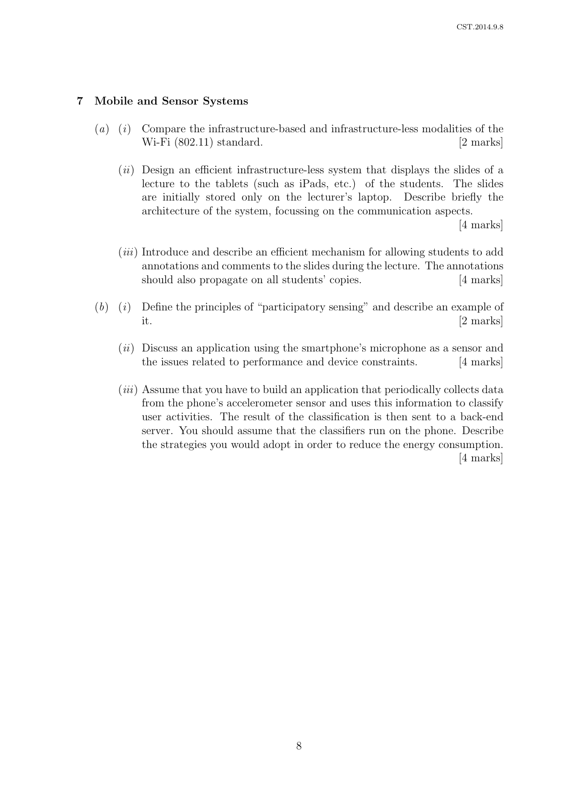### 7 Mobile and Sensor Systems

- (a) (i) Compare the infrastructure-based and infrastructure-less modalities of the Wi-Fi (802.11) standard. [2 marks]
	- $(ii)$  Design an efficient infrastructure-less system that displays the slides of a lecture to the tablets (such as iPads, etc.) of the students. The slides are initially stored only on the lecturer's laptop. Describe briefly the architecture of the system, focussing on the communication aspects.

[4 marks]

- (*iii*) Introduce and describe an efficient mechanism for allowing students to add annotations and comments to the slides during the lecture. The annotations should also propagate on all students' copies. [4 marks]
- $(b)$  (i) Define the principles of "participatory sensing" and describe an example of it. [2 marks]
	- $(ii)$  Discuss an application using the smartphone's microphone as a sensor and the issues related to performance and device constraints. [4 marks]
	- (*iii*) Assume that you have to build an application that periodically collects data from the phone's accelerometer sensor and uses this information to classify user activities. The result of the classification is then sent to a back-end server. You should assume that the classifiers run on the phone. Describe the strategies you would adopt in order to reduce the energy consumption. [4 marks]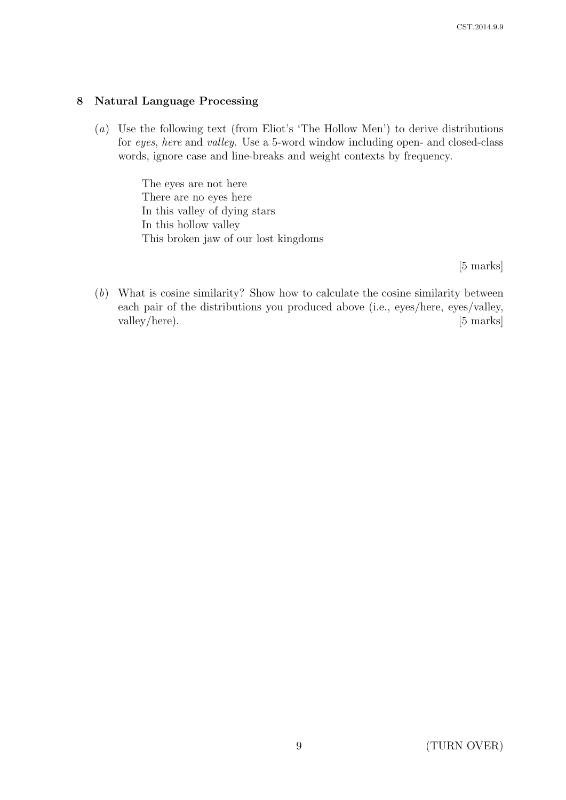## 8 Natural Language Processing

(a) Use the following text (from Eliot's 'The Hollow Men') to derive distributions for eyes, here and valley. Use a 5-word window including open- and closed-class words, ignore case and line-breaks and weight contexts by frequency.

> The eyes are not here There are no eyes here In this valley of dying stars In this hollow valley This broken jaw of our lost kingdoms

> > [5 marks]

(b) What is cosine similarity? Show how to calculate the cosine similarity between each pair of the distributions you produced above (i.e., eyes/here, eyes/valley, valley/here). [5 marks]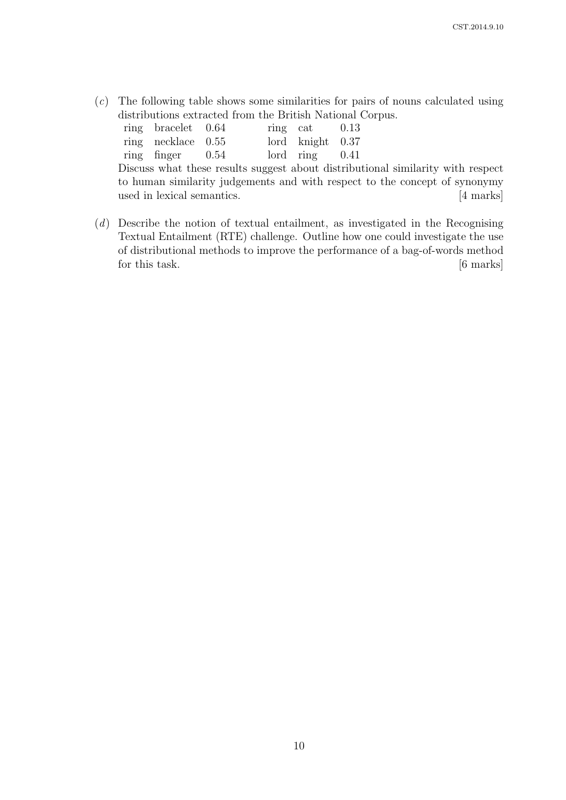(c) The following table shows some similarities for pairs of nouns calculated using distributions extracted from the British National Corpus.

ring bracelet 0.64 ring necklace 0.55 ring finger 0.54 ring cat 0.13 lord knight 0.37 lord ring 0.41 Discuss what these results suggest about distributional similarity with respect to human similarity judgements and with respect to the concept of synonymy used in lexical semantics. [4 marks]

(d) Describe the notion of textual entailment, as investigated in the Recognising Textual Entailment (RTE) challenge. Outline how one could investigate the use of distributional methods to improve the performance of a bag-of-words method for this task. [6 marks]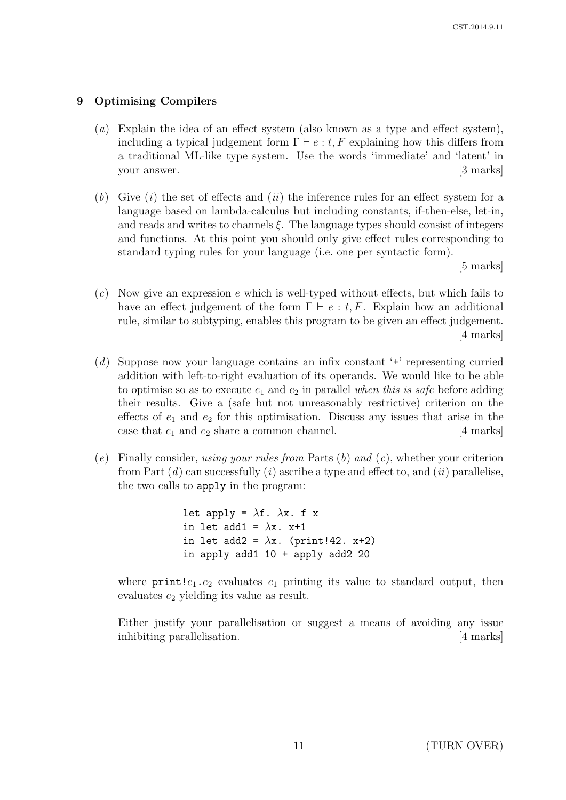## 9 Optimising Compilers

- (a) Explain the idea of an effect system (also known as a type and effect system), including a typical judgement form  $\Gamma \vdash e : t, F$  explaining how this differs from a traditional ML-like type system. Use the words 'immediate' and 'latent' in your answer. [3 marks]
- (b) Give  $(i)$  the set of effects and  $(ii)$  the inference rules for an effect system for a language based on lambda-calculus but including constants, if-then-else, let-in, and reads and writes to channels  $\xi$ . The language types should consist of integers and functions. At this point you should only give effect rules corresponding to standard typing rules for your language (i.e. one per syntactic form).

[5 marks]

- $(c)$  Now give an expression e which is well-typed without effects, but which fails to have an effect judgement of the form  $\Gamma \vdash e : t, F$ . Explain how an additional rule, similar to subtyping, enables this program to be given an effect judgement. [4 marks]
- (d) Suppose now your language contains an infix constant '+' representing curried addition with left-to-right evaluation of its operands. We would like to be able to optimise so as to execute  $e_1$  and  $e_2$  in parallel when this is safe before adding their results. Give a (safe but not unreasonably restrictive) criterion on the effects of  $e_1$  and  $e_2$  for this optimisation. Discuss any issues that arise in the case that  $e_1$  and  $e_2$  share a common channel. [4 marks]
- (e) Finally consider, using your rules from Parts  $(b)$  and  $(c)$ , whether your criterion from Part  $(d)$  can successfully  $(i)$  ascribe a type and effect to, and  $(ii)$  parallelise, the two calls to apply in the program:

let apply =  $\lambda$ f.  $\lambda$ x. f x in let add1 =  $\lambda$ x. x+1 in let add2 =  $\lambda$ x. (print!42. x+2) in apply add1 10 + apply add2 20

where  $\text{print}!e_1 \text{ .}e_2$  evaluates  $e_1$  printing its value to standard output, then evaluates  $e_2$  yielding its value as result.

Either justify your parallelisation or suggest a means of avoiding any issue inhibiting parallelisation. [4 marks]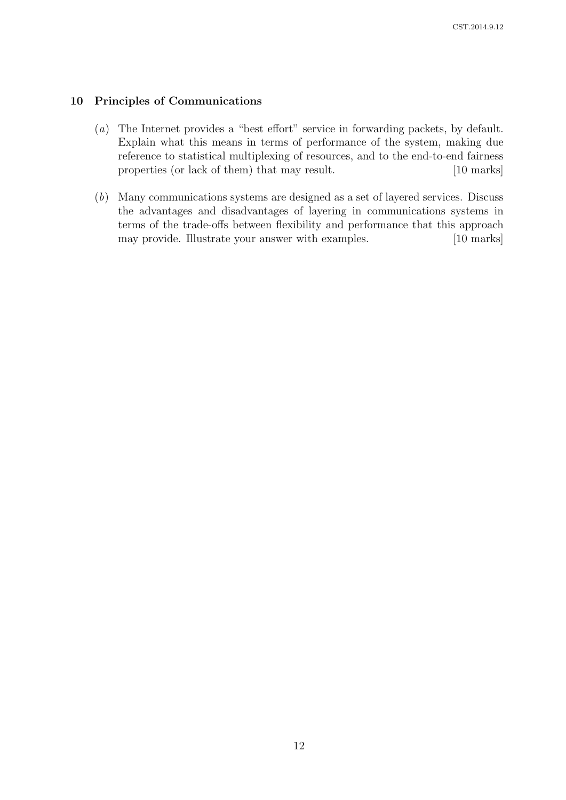## 10 Principles of Communications

- (a) The Internet provides a "best effort" service in forwarding packets, by default. Explain what this means in terms of performance of the system, making due reference to statistical multiplexing of resources, and to the end-to-end fairness properties (or lack of them) that may result. [10 marks]
- (b) Many communications systems are designed as a set of layered services. Discuss the advantages and disadvantages of layering in communications systems in terms of the trade-offs between flexibility and performance that this approach may provide. Illustrate your answer with examples. [10 marks]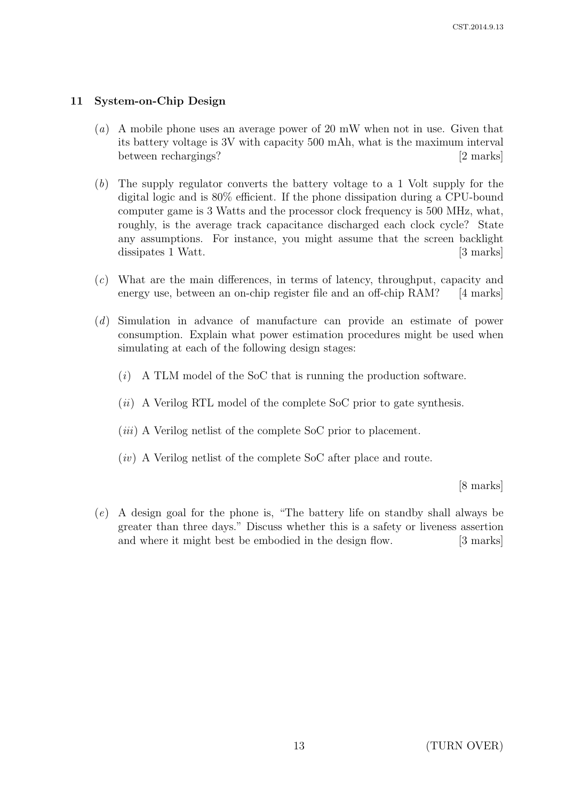## 11 System-on-Chip Design

- (a) A mobile phone uses an average power of 20 mW when not in use. Given that its battery voltage is 3V with capacity 500 mAh, what is the maximum interval between rechargings? [2 marks]
- (b) The supply regulator converts the battery voltage to a 1 Volt supply for the digital logic and is 80% efficient. If the phone dissipation during a CPU-bound computer game is 3 Watts and the processor clock frequency is 500 MHz, what, roughly, is the average track capacitance discharged each clock cycle? State any assumptions. For instance, you might assume that the screen backlight dissipates 1 Watt. [3 marks]
- (c) What are the main differences, in terms of latency, throughput, capacity and energy use, between an on-chip register file and an off-chip RAM? [4 marks]
- (d) Simulation in advance of manufacture can provide an estimate of power consumption. Explain what power estimation procedures might be used when simulating at each of the following design stages:
	- (i) A TLM model of the SoC that is running the production software.
	- $(ii)$  A Verilog RTL model of the complete SoC prior to gate synthesis.
	- $(iii)$  A Verilog netlist of the complete SoC prior to placement.
	- $(iv)$  A Verilog netlist of the complete SoC after place and route.

[8 marks]

(e) A design goal for the phone is, "The battery life on standby shall always be greater than three days." Discuss whether this is a safety or liveness assertion and where it might best be embodied in the design flow. [3 marks]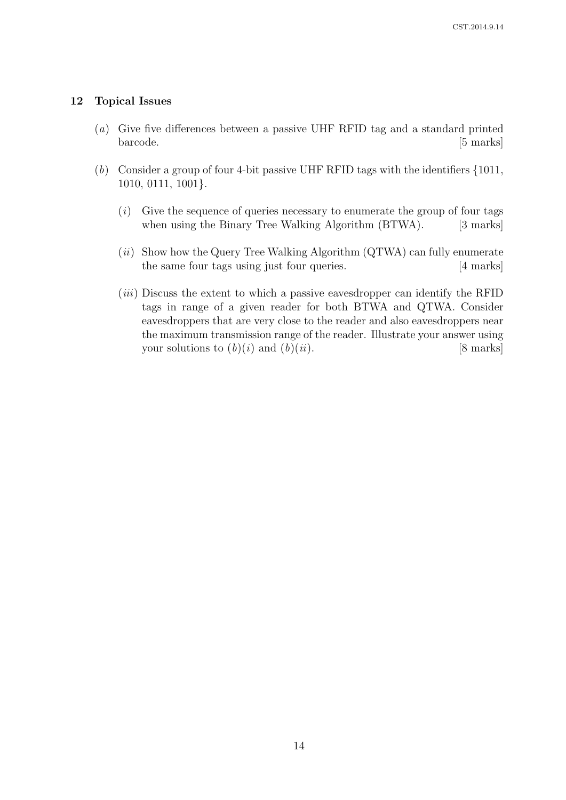### 12 Topical Issues

- (a) Give five differences between a passive UHF RFID tag and a standard printed barcode. [5 marks]
- (b) Consider a group of four 4-bit passive UHF RFID tags with the identifiers {1011, 1010, 0111, 1001}.
	- $(i)$  Give the sequence of queries necessary to enumerate the group of four tags when using the Binary Tree Walking Algorithm (BTWA). [3 marks]
	- $(ii)$  Show how the Query Tree Walking Algorithm (QTWA) can fully enumerate the same four tags using just four queries. [4 marks]
	- (*iii*) Discuss the extent to which a passive eavesdropper can identify the RFID tags in range of a given reader for both BTWA and QTWA. Consider eavesdroppers that are very close to the reader and also eavesdroppers near the maximum transmission range of the reader. Illustrate your answer using your solutions to  $(b)(i)$  and  $(b)(ii)$ . [8 marks]